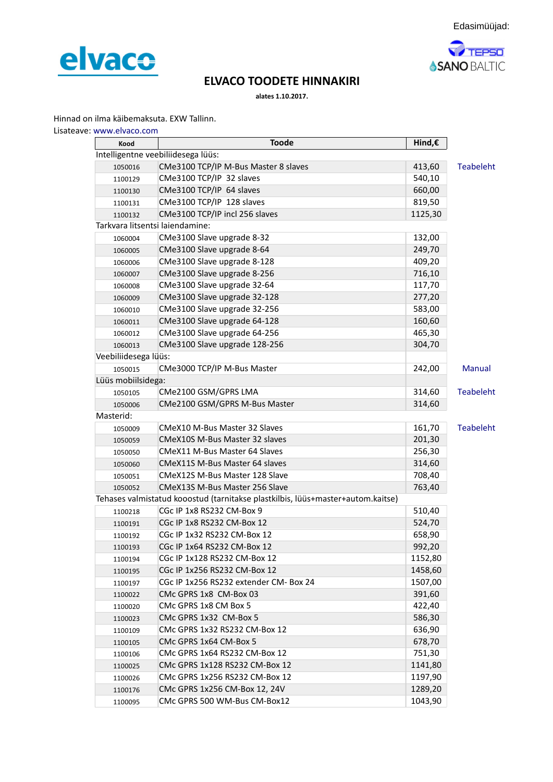



## **ELVACO TOODETE HINNAKIRI**

**alates 1.10.2017.**

Hinnad on ilma käibemaksuta. EXW Tallinn.

| Lisateave: www.elvaco.com |  |  |  |
|---------------------------|--|--|--|
|---------------------------|--|--|--|

| Intelligentne veebiliidesega lüüs:<br>CMe3100 TCP/IP M-Bus Master 8 slaves<br>413,60<br><b>Teabeleht</b><br>1050016<br>CMe3100 TCP/IP 32 slaves<br>540,10<br>1100129<br>CMe3100 TCP/IP 64 slaves<br>660,00<br>1100130<br>CMe3100 TCP/IP 128 slaves<br>819,50<br>1100131<br>CMe3100 TCP/IP incl 256 slaves<br>1125,30<br>1100132<br>Tarkvara litsentsi laiendamine:<br>CMe3100 Slave upgrade 8-32<br>132,00<br>1060004<br>CMe3100 Slave upgrade 8-64<br>249,70<br>1060005<br>CMe3100 Slave upgrade 8-128<br>409,20<br>1060006<br>CMe3100 Slave upgrade 8-256<br>716,10<br>1060007<br>CMe3100 Slave upgrade 32-64<br>117,70<br>1060008<br>CMe3100 Slave upgrade 32-128<br>277,20<br>1060009<br>CMe3100 Slave upgrade 32-256<br>583,00<br>1060010<br>CMe3100 Slave upgrade 64-128<br>160,60<br>1060011<br>CMe3100 Slave upgrade 64-256<br>465,30<br>1060012<br>CMe3100 Slave upgrade 128-256<br>304,70<br>1060013<br>Veebiliidesega lüüs:<br>CMe3000 TCP/IP M-Bus Master<br>242,00<br>Manual<br>1050015<br>Lüüs mobiilsidega:<br>CMe2100 GSM/GPRS LMA<br>314,60<br><b>Teabeleht</b><br>1050105<br>CMe2100 GSM/GPRS M-Bus Master<br>314,60<br>1050006<br>Masterid:<br>CMeX10 M-Bus Master 32 Slaves<br>161,70<br><b>Teabeleht</b><br>1050009<br>CMeX10S M-Bus Master 32 slaves<br>201,30<br>1050059<br>256,30<br>CMeX11 M-Bus Master 64 Slaves<br>1050050<br>314,60<br>CMeX11S M-Bus Master 64 slaves<br>1050060<br>CMeX12S M-Bus Master 128 Slave<br>708,40<br>1050051<br>CMeX13S M-Bus Master 256 Slave<br>763,40<br>1050052<br>Tehases valmistatud kooostud (tarnitakse plastkilbis, lüüs+master+autom.kaitse)<br>CGc IP 1x8 RS232 CM-Box 9<br>510,40<br>1100218<br>CGc IP 1x8 RS232 CM-Box 12<br>524,70<br>1100191<br>CGc IP 1x32 RS232 CM-Box 12<br>658,90<br>1100192<br>CGc IP 1x64 RS232 CM-Box 12<br>992,20<br>1100193<br>CGc IP 1x128 RS232 CM-Box 12<br>1152,80<br>1100194<br>CGc IP 1x256 RS232 CM-Box 12<br>1458,60<br>1100195<br>CGc IP 1x256 RS232 extender CM- Box 24<br>1507,00<br>1100197<br>CMc GPRS 1x8 CM-Box 03<br>391,60<br>1100022<br>CMc GPRS 1x8 CM Box 5<br>422,40<br>1100020<br>CMc GPRS 1x32 CM-Box 5<br>586,30<br>1100023<br>CMc GPRS 1x32 RS232 CM-Box 12<br>636,90<br>1100109<br>CMc GPRS 1x64 CM-Box 5<br>678,70<br>1100105<br>CMc GPRS 1x64 RS232 CM-Box 12<br>751,30<br>1100106<br>CMc GPRS 1x128 RS232 CM-Box 12<br>1141,80<br>1100025<br>CMc GPRS 1x256 RS232 CM-Box 12<br>1197,90<br>1100026<br>CMc GPRS 1x256 CM-Box 12, 24V<br>1289,20<br>1100176<br>CMc GPRS 500 WM-Bus CM-Box12<br>1043,90<br>1100095 | Kood | <b>Toode</b> | Hind,€ |  |
|--------------------------------------------------------------------------------------------------------------------------------------------------------------------------------------------------------------------------------------------------------------------------------------------------------------------------------------------------------------------------------------------------------------------------------------------------------------------------------------------------------------------------------------------------------------------------------------------------------------------------------------------------------------------------------------------------------------------------------------------------------------------------------------------------------------------------------------------------------------------------------------------------------------------------------------------------------------------------------------------------------------------------------------------------------------------------------------------------------------------------------------------------------------------------------------------------------------------------------------------------------------------------------------------------------------------------------------------------------------------------------------------------------------------------------------------------------------------------------------------------------------------------------------------------------------------------------------------------------------------------------------------------------------------------------------------------------------------------------------------------------------------------------------------------------------------------------------------------------------------------------------------------------------------------------------------------------------------------------------------------------------------------------------------------------------------------------------------------------------------------------------------------------------------------------------------------------------------------------------------------------------------------------------------------------------------------------------------------------------------------------------------------------------------------------------------------------------------------------------------------------------------------------------------|------|--------------|--------|--|
|                                                                                                                                                                                                                                                                                                                                                                                                                                                                                                                                                                                                                                                                                                                                                                                                                                                                                                                                                                                                                                                                                                                                                                                                                                                                                                                                                                                                                                                                                                                                                                                                                                                                                                                                                                                                                                                                                                                                                                                                                                                                                                                                                                                                                                                                                                                                                                                                                                                                                                                                            |      |              |        |  |
|                                                                                                                                                                                                                                                                                                                                                                                                                                                                                                                                                                                                                                                                                                                                                                                                                                                                                                                                                                                                                                                                                                                                                                                                                                                                                                                                                                                                                                                                                                                                                                                                                                                                                                                                                                                                                                                                                                                                                                                                                                                                                                                                                                                                                                                                                                                                                                                                                                                                                                                                            |      |              |        |  |
|                                                                                                                                                                                                                                                                                                                                                                                                                                                                                                                                                                                                                                                                                                                                                                                                                                                                                                                                                                                                                                                                                                                                                                                                                                                                                                                                                                                                                                                                                                                                                                                                                                                                                                                                                                                                                                                                                                                                                                                                                                                                                                                                                                                                                                                                                                                                                                                                                                                                                                                                            |      |              |        |  |
|                                                                                                                                                                                                                                                                                                                                                                                                                                                                                                                                                                                                                                                                                                                                                                                                                                                                                                                                                                                                                                                                                                                                                                                                                                                                                                                                                                                                                                                                                                                                                                                                                                                                                                                                                                                                                                                                                                                                                                                                                                                                                                                                                                                                                                                                                                                                                                                                                                                                                                                                            |      |              |        |  |
|                                                                                                                                                                                                                                                                                                                                                                                                                                                                                                                                                                                                                                                                                                                                                                                                                                                                                                                                                                                                                                                                                                                                                                                                                                                                                                                                                                                                                                                                                                                                                                                                                                                                                                                                                                                                                                                                                                                                                                                                                                                                                                                                                                                                                                                                                                                                                                                                                                                                                                                                            |      |              |        |  |
|                                                                                                                                                                                                                                                                                                                                                                                                                                                                                                                                                                                                                                                                                                                                                                                                                                                                                                                                                                                                                                                                                                                                                                                                                                                                                                                                                                                                                                                                                                                                                                                                                                                                                                                                                                                                                                                                                                                                                                                                                                                                                                                                                                                                                                                                                                                                                                                                                                                                                                                                            |      |              |        |  |
|                                                                                                                                                                                                                                                                                                                                                                                                                                                                                                                                                                                                                                                                                                                                                                                                                                                                                                                                                                                                                                                                                                                                                                                                                                                                                                                                                                                                                                                                                                                                                                                                                                                                                                                                                                                                                                                                                                                                                                                                                                                                                                                                                                                                                                                                                                                                                                                                                                                                                                                                            |      |              |        |  |
|                                                                                                                                                                                                                                                                                                                                                                                                                                                                                                                                                                                                                                                                                                                                                                                                                                                                                                                                                                                                                                                                                                                                                                                                                                                                                                                                                                                                                                                                                                                                                                                                                                                                                                                                                                                                                                                                                                                                                                                                                                                                                                                                                                                                                                                                                                                                                                                                                                                                                                                                            |      |              |        |  |
|                                                                                                                                                                                                                                                                                                                                                                                                                                                                                                                                                                                                                                                                                                                                                                                                                                                                                                                                                                                                                                                                                                                                                                                                                                                                                                                                                                                                                                                                                                                                                                                                                                                                                                                                                                                                                                                                                                                                                                                                                                                                                                                                                                                                                                                                                                                                                                                                                                                                                                                                            |      |              |        |  |
|                                                                                                                                                                                                                                                                                                                                                                                                                                                                                                                                                                                                                                                                                                                                                                                                                                                                                                                                                                                                                                                                                                                                                                                                                                                                                                                                                                                                                                                                                                                                                                                                                                                                                                                                                                                                                                                                                                                                                                                                                                                                                                                                                                                                                                                                                                                                                                                                                                                                                                                                            |      |              |        |  |
|                                                                                                                                                                                                                                                                                                                                                                                                                                                                                                                                                                                                                                                                                                                                                                                                                                                                                                                                                                                                                                                                                                                                                                                                                                                                                                                                                                                                                                                                                                                                                                                                                                                                                                                                                                                                                                                                                                                                                                                                                                                                                                                                                                                                                                                                                                                                                                                                                                                                                                                                            |      |              |        |  |
|                                                                                                                                                                                                                                                                                                                                                                                                                                                                                                                                                                                                                                                                                                                                                                                                                                                                                                                                                                                                                                                                                                                                                                                                                                                                                                                                                                                                                                                                                                                                                                                                                                                                                                                                                                                                                                                                                                                                                                                                                                                                                                                                                                                                                                                                                                                                                                                                                                                                                                                                            |      |              |        |  |
|                                                                                                                                                                                                                                                                                                                                                                                                                                                                                                                                                                                                                                                                                                                                                                                                                                                                                                                                                                                                                                                                                                                                                                                                                                                                                                                                                                                                                                                                                                                                                                                                                                                                                                                                                                                                                                                                                                                                                                                                                                                                                                                                                                                                                                                                                                                                                                                                                                                                                                                                            |      |              |        |  |
|                                                                                                                                                                                                                                                                                                                                                                                                                                                                                                                                                                                                                                                                                                                                                                                                                                                                                                                                                                                                                                                                                                                                                                                                                                                                                                                                                                                                                                                                                                                                                                                                                                                                                                                                                                                                                                                                                                                                                                                                                                                                                                                                                                                                                                                                                                                                                                                                                                                                                                                                            |      |              |        |  |
|                                                                                                                                                                                                                                                                                                                                                                                                                                                                                                                                                                                                                                                                                                                                                                                                                                                                                                                                                                                                                                                                                                                                                                                                                                                                                                                                                                                                                                                                                                                                                                                                                                                                                                                                                                                                                                                                                                                                                                                                                                                                                                                                                                                                                                                                                                                                                                                                                                                                                                                                            |      |              |        |  |
|                                                                                                                                                                                                                                                                                                                                                                                                                                                                                                                                                                                                                                                                                                                                                                                                                                                                                                                                                                                                                                                                                                                                                                                                                                                                                                                                                                                                                                                                                                                                                                                                                                                                                                                                                                                                                                                                                                                                                                                                                                                                                                                                                                                                                                                                                                                                                                                                                                                                                                                                            |      |              |        |  |
|                                                                                                                                                                                                                                                                                                                                                                                                                                                                                                                                                                                                                                                                                                                                                                                                                                                                                                                                                                                                                                                                                                                                                                                                                                                                                                                                                                                                                                                                                                                                                                                                                                                                                                                                                                                                                                                                                                                                                                                                                                                                                                                                                                                                                                                                                                                                                                                                                                                                                                                                            |      |              |        |  |
|                                                                                                                                                                                                                                                                                                                                                                                                                                                                                                                                                                                                                                                                                                                                                                                                                                                                                                                                                                                                                                                                                                                                                                                                                                                                                                                                                                                                                                                                                                                                                                                                                                                                                                                                                                                                                                                                                                                                                                                                                                                                                                                                                                                                                                                                                                                                                                                                                                                                                                                                            |      |              |        |  |
|                                                                                                                                                                                                                                                                                                                                                                                                                                                                                                                                                                                                                                                                                                                                                                                                                                                                                                                                                                                                                                                                                                                                                                                                                                                                                                                                                                                                                                                                                                                                                                                                                                                                                                                                                                                                                                                                                                                                                                                                                                                                                                                                                                                                                                                                                                                                                                                                                                                                                                                                            |      |              |        |  |
|                                                                                                                                                                                                                                                                                                                                                                                                                                                                                                                                                                                                                                                                                                                                                                                                                                                                                                                                                                                                                                                                                                                                                                                                                                                                                                                                                                                                                                                                                                                                                                                                                                                                                                                                                                                                                                                                                                                                                                                                                                                                                                                                                                                                                                                                                                                                                                                                                                                                                                                                            |      |              |        |  |
|                                                                                                                                                                                                                                                                                                                                                                                                                                                                                                                                                                                                                                                                                                                                                                                                                                                                                                                                                                                                                                                                                                                                                                                                                                                                                                                                                                                                                                                                                                                                                                                                                                                                                                                                                                                                                                                                                                                                                                                                                                                                                                                                                                                                                                                                                                                                                                                                                                                                                                                                            |      |              |        |  |
|                                                                                                                                                                                                                                                                                                                                                                                                                                                                                                                                                                                                                                                                                                                                                                                                                                                                                                                                                                                                                                                                                                                                                                                                                                                                                                                                                                                                                                                                                                                                                                                                                                                                                                                                                                                                                                                                                                                                                                                                                                                                                                                                                                                                                                                                                                                                                                                                                                                                                                                                            |      |              |        |  |
|                                                                                                                                                                                                                                                                                                                                                                                                                                                                                                                                                                                                                                                                                                                                                                                                                                                                                                                                                                                                                                                                                                                                                                                                                                                                                                                                                                                                                                                                                                                                                                                                                                                                                                                                                                                                                                                                                                                                                                                                                                                                                                                                                                                                                                                                                                                                                                                                                                                                                                                                            |      |              |        |  |
|                                                                                                                                                                                                                                                                                                                                                                                                                                                                                                                                                                                                                                                                                                                                                                                                                                                                                                                                                                                                                                                                                                                                                                                                                                                                                                                                                                                                                                                                                                                                                                                                                                                                                                                                                                                                                                                                                                                                                                                                                                                                                                                                                                                                                                                                                                                                                                                                                                                                                                                                            |      |              |        |  |
|                                                                                                                                                                                                                                                                                                                                                                                                                                                                                                                                                                                                                                                                                                                                                                                                                                                                                                                                                                                                                                                                                                                                                                                                                                                                                                                                                                                                                                                                                                                                                                                                                                                                                                                                                                                                                                                                                                                                                                                                                                                                                                                                                                                                                                                                                                                                                                                                                                                                                                                                            |      |              |        |  |
|                                                                                                                                                                                                                                                                                                                                                                                                                                                                                                                                                                                                                                                                                                                                                                                                                                                                                                                                                                                                                                                                                                                                                                                                                                                                                                                                                                                                                                                                                                                                                                                                                                                                                                                                                                                                                                                                                                                                                                                                                                                                                                                                                                                                                                                                                                                                                                                                                                                                                                                                            |      |              |        |  |
|                                                                                                                                                                                                                                                                                                                                                                                                                                                                                                                                                                                                                                                                                                                                                                                                                                                                                                                                                                                                                                                                                                                                                                                                                                                                                                                                                                                                                                                                                                                                                                                                                                                                                                                                                                                                                                                                                                                                                                                                                                                                                                                                                                                                                                                                                                                                                                                                                                                                                                                                            |      |              |        |  |
|                                                                                                                                                                                                                                                                                                                                                                                                                                                                                                                                                                                                                                                                                                                                                                                                                                                                                                                                                                                                                                                                                                                                                                                                                                                                                                                                                                                                                                                                                                                                                                                                                                                                                                                                                                                                                                                                                                                                                                                                                                                                                                                                                                                                                                                                                                                                                                                                                                                                                                                                            |      |              |        |  |
|                                                                                                                                                                                                                                                                                                                                                                                                                                                                                                                                                                                                                                                                                                                                                                                                                                                                                                                                                                                                                                                                                                                                                                                                                                                                                                                                                                                                                                                                                                                                                                                                                                                                                                                                                                                                                                                                                                                                                                                                                                                                                                                                                                                                                                                                                                                                                                                                                                                                                                                                            |      |              |        |  |
|                                                                                                                                                                                                                                                                                                                                                                                                                                                                                                                                                                                                                                                                                                                                                                                                                                                                                                                                                                                                                                                                                                                                                                                                                                                                                                                                                                                                                                                                                                                                                                                                                                                                                                                                                                                                                                                                                                                                                                                                                                                                                                                                                                                                                                                                                                                                                                                                                                                                                                                                            |      |              |        |  |
|                                                                                                                                                                                                                                                                                                                                                                                                                                                                                                                                                                                                                                                                                                                                                                                                                                                                                                                                                                                                                                                                                                                                                                                                                                                                                                                                                                                                                                                                                                                                                                                                                                                                                                                                                                                                                                                                                                                                                                                                                                                                                                                                                                                                                                                                                                                                                                                                                                                                                                                                            |      |              |        |  |
|                                                                                                                                                                                                                                                                                                                                                                                                                                                                                                                                                                                                                                                                                                                                                                                                                                                                                                                                                                                                                                                                                                                                                                                                                                                                                                                                                                                                                                                                                                                                                                                                                                                                                                                                                                                                                                                                                                                                                                                                                                                                                                                                                                                                                                                                                                                                                                                                                                                                                                                                            |      |              |        |  |
|                                                                                                                                                                                                                                                                                                                                                                                                                                                                                                                                                                                                                                                                                                                                                                                                                                                                                                                                                                                                                                                                                                                                                                                                                                                                                                                                                                                                                                                                                                                                                                                                                                                                                                                                                                                                                                                                                                                                                                                                                                                                                                                                                                                                                                                                                                                                                                                                                                                                                                                                            |      |              |        |  |
|                                                                                                                                                                                                                                                                                                                                                                                                                                                                                                                                                                                                                                                                                                                                                                                                                                                                                                                                                                                                                                                                                                                                                                                                                                                                                                                                                                                                                                                                                                                                                                                                                                                                                                                                                                                                                                                                                                                                                                                                                                                                                                                                                                                                                                                                                                                                                                                                                                                                                                                                            |      |              |        |  |
|                                                                                                                                                                                                                                                                                                                                                                                                                                                                                                                                                                                                                                                                                                                                                                                                                                                                                                                                                                                                                                                                                                                                                                                                                                                                                                                                                                                                                                                                                                                                                                                                                                                                                                                                                                                                                                                                                                                                                                                                                                                                                                                                                                                                                                                                                                                                                                                                                                                                                                                                            |      |              |        |  |
|                                                                                                                                                                                                                                                                                                                                                                                                                                                                                                                                                                                                                                                                                                                                                                                                                                                                                                                                                                                                                                                                                                                                                                                                                                                                                                                                                                                                                                                                                                                                                                                                                                                                                                                                                                                                                                                                                                                                                                                                                                                                                                                                                                                                                                                                                                                                                                                                                                                                                                                                            |      |              |        |  |
|                                                                                                                                                                                                                                                                                                                                                                                                                                                                                                                                                                                                                                                                                                                                                                                                                                                                                                                                                                                                                                                                                                                                                                                                                                                                                                                                                                                                                                                                                                                                                                                                                                                                                                                                                                                                                                                                                                                                                                                                                                                                                                                                                                                                                                                                                                                                                                                                                                                                                                                                            |      |              |        |  |
|                                                                                                                                                                                                                                                                                                                                                                                                                                                                                                                                                                                                                                                                                                                                                                                                                                                                                                                                                                                                                                                                                                                                                                                                                                                                                                                                                                                                                                                                                                                                                                                                                                                                                                                                                                                                                                                                                                                                                                                                                                                                                                                                                                                                                                                                                                                                                                                                                                                                                                                                            |      |              |        |  |
|                                                                                                                                                                                                                                                                                                                                                                                                                                                                                                                                                                                                                                                                                                                                                                                                                                                                                                                                                                                                                                                                                                                                                                                                                                                                                                                                                                                                                                                                                                                                                                                                                                                                                                                                                                                                                                                                                                                                                                                                                                                                                                                                                                                                                                                                                                                                                                                                                                                                                                                                            |      |              |        |  |
|                                                                                                                                                                                                                                                                                                                                                                                                                                                                                                                                                                                                                                                                                                                                                                                                                                                                                                                                                                                                                                                                                                                                                                                                                                                                                                                                                                                                                                                                                                                                                                                                                                                                                                                                                                                                                                                                                                                                                                                                                                                                                                                                                                                                                                                                                                                                                                                                                                                                                                                                            |      |              |        |  |
|                                                                                                                                                                                                                                                                                                                                                                                                                                                                                                                                                                                                                                                                                                                                                                                                                                                                                                                                                                                                                                                                                                                                                                                                                                                                                                                                                                                                                                                                                                                                                                                                                                                                                                                                                                                                                                                                                                                                                                                                                                                                                                                                                                                                                                                                                                                                                                                                                                                                                                                                            |      |              |        |  |
|                                                                                                                                                                                                                                                                                                                                                                                                                                                                                                                                                                                                                                                                                                                                                                                                                                                                                                                                                                                                                                                                                                                                                                                                                                                                                                                                                                                                                                                                                                                                                                                                                                                                                                                                                                                                                                                                                                                                                                                                                                                                                                                                                                                                                                                                                                                                                                                                                                                                                                                                            |      |              |        |  |
|                                                                                                                                                                                                                                                                                                                                                                                                                                                                                                                                                                                                                                                                                                                                                                                                                                                                                                                                                                                                                                                                                                                                                                                                                                                                                                                                                                                                                                                                                                                                                                                                                                                                                                                                                                                                                                                                                                                                                                                                                                                                                                                                                                                                                                                                                                                                                                                                                                                                                                                                            |      |              |        |  |
|                                                                                                                                                                                                                                                                                                                                                                                                                                                                                                                                                                                                                                                                                                                                                                                                                                                                                                                                                                                                                                                                                                                                                                                                                                                                                                                                                                                                                                                                                                                                                                                                                                                                                                                                                                                                                                                                                                                                                                                                                                                                                                                                                                                                                                                                                                                                                                                                                                                                                                                                            |      |              |        |  |
|                                                                                                                                                                                                                                                                                                                                                                                                                                                                                                                                                                                                                                                                                                                                                                                                                                                                                                                                                                                                                                                                                                                                                                                                                                                                                                                                                                                                                                                                                                                                                                                                                                                                                                                                                                                                                                                                                                                                                                                                                                                                                                                                                                                                                                                                                                                                                                                                                                                                                                                                            |      |              |        |  |
|                                                                                                                                                                                                                                                                                                                                                                                                                                                                                                                                                                                                                                                                                                                                                                                                                                                                                                                                                                                                                                                                                                                                                                                                                                                                                                                                                                                                                                                                                                                                                                                                                                                                                                                                                                                                                                                                                                                                                                                                                                                                                                                                                                                                                                                                                                                                                                                                                                                                                                                                            |      |              |        |  |
|                                                                                                                                                                                                                                                                                                                                                                                                                                                                                                                                                                                                                                                                                                                                                                                                                                                                                                                                                                                                                                                                                                                                                                                                                                                                                                                                                                                                                                                                                                                                                                                                                                                                                                                                                                                                                                                                                                                                                                                                                                                                                                                                                                                                                                                                                                                                                                                                                                                                                                                                            |      |              |        |  |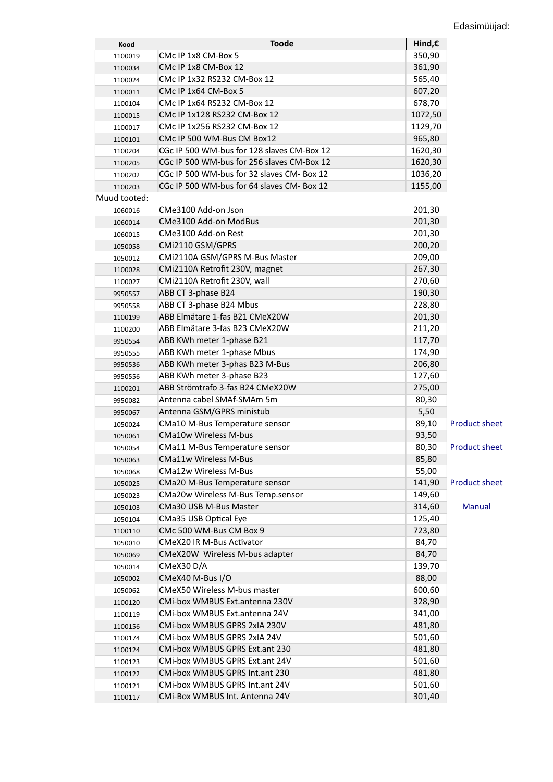| Kood         | <b>Toode</b>                               | Hind,€  |                      |
|--------------|--------------------------------------------|---------|----------------------|
| 1100019      | CMc IP 1x8 CM-Box 5                        | 350,90  |                      |
| 1100034      | CMc IP 1x8 CM-Box 12                       | 361,90  |                      |
| 1100024      | CMc IP 1x32 RS232 CM-Box 12                | 565,40  |                      |
| 1100011      | CMc IP 1x64 CM-Box 5                       | 607,20  |                      |
| 1100104      | CMc IP 1x64 RS232 CM-Box 12                | 678,70  |                      |
| 1100015      | CMc IP 1x128 RS232 CM-Box 12               | 1072,50 |                      |
| 1100017      | CMc IP 1x256 RS232 CM-Box 12               | 1129,70 |                      |
| 1100101      | CMc IP 500 WM-Bus CM Box12                 | 965,80  |                      |
| 1100204      | CGc IP 500 WM-bus for 128 slaves CM-Box 12 | 1620,30 |                      |
| 1100205      | CGc IP 500 WM-bus for 256 slaves CM-Box 12 | 1620,30 |                      |
| 1100202      | CGc IP 500 WM-bus for 32 slaves CM- Box 12 | 1036,20 |                      |
| 1100203      | CGc IP 500 WM-bus for 64 slaves CM- Box 12 | 1155,00 |                      |
| Muud tooted: |                                            |         |                      |
| 1060016      | CMe3100 Add-on Json                        | 201,30  |                      |
| 1060014      | CMe3100 Add-on ModBus                      | 201,30  |                      |
| 1060015      | CMe3100 Add-on Rest                        | 201,30  |                      |
| 1050058      | CMi2110 GSM/GPRS                           | 200,20  |                      |
| 1050012      | CMi2110A GSM/GPRS M-Bus Master             | 209,00  |                      |
| 1100028      | CMi2110A Retrofit 230V, magnet             | 267,30  |                      |
| 1100027      | CMi2110A Retrofit 230V, wall               | 270,60  |                      |
| 9950557      | ABB CT 3-phase B24                         | 190,30  |                      |
| 9950558      | ABB CT 3-phase B24 Mbus                    | 228,80  |                      |
| 1100199      | ABB Elmätare 1-fas B21 CMeX20W             | 201,30  |                      |
| 1100200      | ABB Elmätare 3-fas B23 CMeX20W             | 211,20  |                      |
| 9950554      | ABB KWh meter 1-phase B21                  | 117,70  |                      |
| 9950555      | ABB KWh meter 1-phase Mbus                 | 174,90  |                      |
| 9950536      | ABB KWh meter 3-phas B23 M-Bus             | 206,80  |                      |
| 9950556      | ABB KWh meter 3-phase B23                  | 127,60  |                      |
| 1100201      | ABB Strömtrafo 3-fas B24 CMeX20W           | 275,00  |                      |
| 9950082      | Antenna cabel SMAf-SMAm 5m                 | 80,30   |                      |
| 9950067      | Antenna GSM/GPRS ministub                  | 5,50    |                      |
| 1050024      | CMa10 M-Bus Temperature sensor             | 89,10   | <b>Product sheet</b> |
| 1050061      | <b>CMa10w Wireless M-bus</b>               | 93,50   |                      |
| 1050054      | CMa11 M-Bus Temperature sensor             | 80,30   | <b>Product sheet</b> |
| 1050063      | <b>CMa11w Wireless M-Bus</b>               | 85,80   |                      |
| 1050068      | <b>CMa12w Wireless M-Bus</b>               | 55,00   |                      |
| 1050025      | CMa20 M-Bus Temperature sensor             | 141,90  | <b>Product sheet</b> |
| 1050023      | CMa20w Wireless M-Bus Temp.sensor          | 149,60  |                      |
| 1050103      | CMa30 USB M-Bus Master                     | 314,60  | Manual               |
| 1050104      | CMa35 USB Optical Eye                      | 125,40  |                      |
| 1100110      | CMc 500 WM-Bus CM Box 9                    | 723,80  |                      |
| 1050010      | <b>CMeX20 IR M-Bus Activator</b>           | 84,70   |                      |
| 1050069      | CMeX20W Wireless M-bus adapter             | 84,70   |                      |
| 1050014      | CMeX30 D/A                                 | 139,70  |                      |
| 1050002      | CMeX40 M-Bus I/O                           | 88,00   |                      |
| 1050062      | CMeX50 Wireless M-bus master               | 600,60  |                      |
| 1100120      | CMi-box WMBUS Ext.antenna 230V             | 328,90  |                      |
| 1100119      | CMi-box WMBUS Ext.antenna 24V              | 341,00  |                      |
| 1100156      | CMi-box WMBUS GPRS 2xIA 230V               | 481,80  |                      |
| 1100174      | CMi-box WMBUS GPRS 2xIA 24V                | 501,60  |                      |
| 1100124      | CMi-box WMBUS GPRS Ext.ant 230             | 481,80  |                      |
| 1100123      | CMi-box WMBUS GPRS Ext.ant 24V             | 501,60  |                      |
| 1100122      | CMi-box WMBUS GPRS Int.ant 230             | 481,80  |                      |
| 1100121      | CMi-box WMBUS GPRS Int.ant 24V             | 501,60  |                      |
| 1100117      | CMi-Box WMBUS Int. Antenna 24V             | 301,40  |                      |
|              |                                            |         |                      |